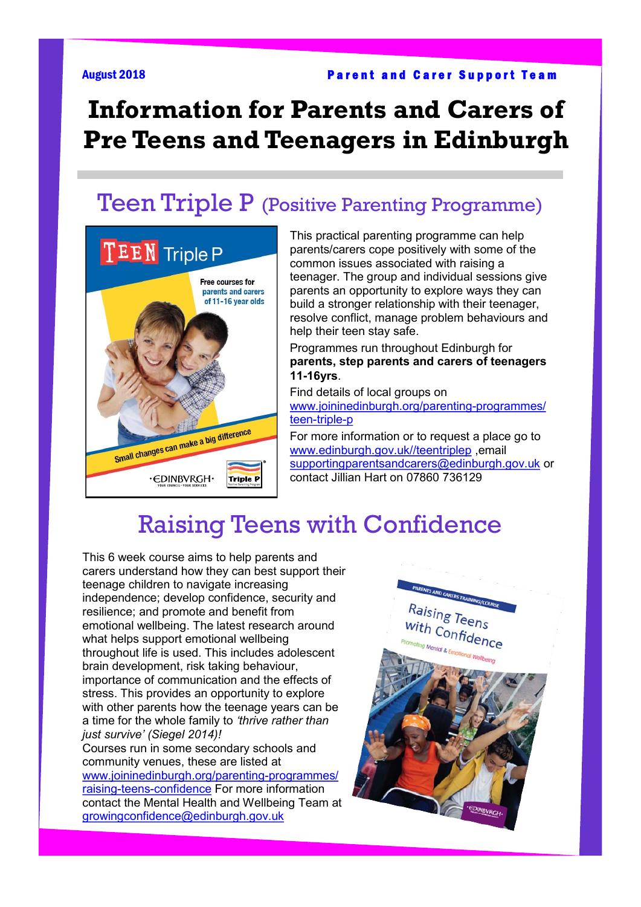# **Information for Parents and Carers of Pre Teens and Teenagers in Edinburgh**

#### Teen Triple P (Positive Parenting Programme)



This practical parenting programme can help parents/carers cope positively with some of the common issues associated with raising a teenager. The group and individual sessions give parents an opportunity to explore ways they can build a stronger relationship with their teenager, resolve conflict, manage problem behaviours and help their teen stay safe.

Programmes run throughout Edinburgh for **parents, step parents and carers of teenagers 11-16yrs**.

Find details of local groups on [www.joininedinburgh.org/parenting](https://www.joininedinburgh.org/parenting-programmes/teen-triple-p/)-programmes/ teen-[triple](https://www.joininedinburgh.org/parenting-programmes/teen-triple-p/)-p

For more information or to request a place go to [www.edinburgh.gov.uk//teentriplep](http://www.edinburgh.gov.uk/teentriplep) email [supportingparentsandcarers@edinburgh.gov.uk](mailto:supportingparentsandcarers@edinburgh.gov.uk) or contact Jillian Hart on 07860 736129

#### Raising Teens with Confidence

This 6 week course aims to help parents and carers understand how they can best support their teenage children to navigate increasing independence; develop confidence, security and resilience; and promote and benefit from emotional wellbeing. The latest research around what helps support emotional wellbeing throughout life is used. This includes adolescent brain development, risk taking behaviour, importance of communication and the effects of stress. This provides an opportunity to explore with other parents how the teenage years can be. a time for the whole family to *'thrive rather than just survive' (Siegel 2014)!*  Courses run in some secondary schools and

community venues, these are listed at [www.joininedinburgh.org/parenting](https://www.joininedinburgh.org/parenting-programmes/raising-teens-confidence/)-programmes/ raising-teens-[confidence](https://www.joininedinburgh.org/parenting-programmes/raising-teens-confidence/) For more information contact the Mental Health and Wellbeing Team at [growingconfidence@edinburgh.gov.uk](mailto:growingconfidence@edinburgh.gov.uk)